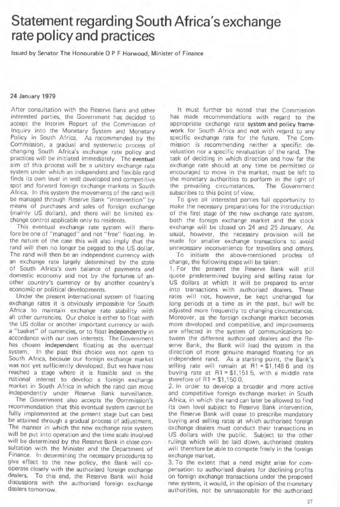## Statement regarding South Africa's exchange rate policy and practices

Issued by Senator The Honourable 0 P F Horwood, Minister of Finance

## 24 January 1979

After consultation with the Reserve Bank and other interested panies, the Government has decided to accept the Interim Report of the Commission of Inquiry inlo the Monetary System and Monetary Policy in South Africa. As recommended by the Commission, a gradual and systematic process of changing South Africa's exchange rate policy and practices will be initiated immediately. The eventual aim of this process will be a unitary exchange rate system under which an independent and flexible rand finds its own level in well developed and competitive spot and forward foreign exchange markets in South Africa. In this system the movements of the rand will be managed through Reserve Bank "intervention" by means of purchases and sales of foreign exchange (mainly US dollars), and there will be limited exchange control applicable only to residents.

This eventual exchange rate system will therefore be one of "managed" and not "free" floating. In the nature of the case this will also imply that the rand will then no longer be pegged to the US dollar. The rand will then be an independent currency with an exchange rate largely determined by the state of South Africa's own balance 01 payments and domestic economy and not by the fortunes of another country's currency or by another country's economic or political developments.

Under the present International system of floating exchange rates it is obviously impossible for South Africa to maintain exchange rate stability with alt other currencies. Our choice is either to float with the US dollar or another important currency or with a "basket" of currencies, or to float independently in accordance with our own interests. The Government has chosen independent floating as the eventual system. In the past this choice was not open to South Africa, because our foreign exchange market was not yet sufficiently developed. But we have now reached a stage where it is feasible and in the national interest to develop a foreign exchange market in South Africa in which the rand can move independently under Reserve Bank surveillance.

The Government also accepts the Commission's recommendation that this eventual system cannot be fully implemented at the present stage but can best be attained through a gradual process of adjustment. The manner in which the new exchange rate system will be put into operation and the time scale involved will be determined by the Reserve Bank in close consultation with the Minister and the Department of Finance. In determining the necessary procedures to give effect to the new policy, the Bank will cooperate closely with the authorised foreign exchange<br>dealers. To this end, the Reserve Bank will hold To this end, the Reserve Bank will hold discussions with the authorised foreign exchange dealers tomorrow.

It must further be noted that the Commission has made recommendations WIth regard to the appropriate exchange rate system and policy frame· work for South Africa and not with regard to any specific exchange rate for the future. The Commission is recommending neither a specific devaluation nor a specific revaluation of the rand. The task of deciding in which direction and how far the exchange rate should at any time be permitted or encouraged to move in the market, must be left to the monetary authorities to perform in the light of the prevailing circumstances. The Government subscribes to this point of view.

To give all interested parties full opportunity to make the necessary preparations for the introduction of the first stage of the new exchange rate system. both the foreign exchange market and the stock exchange will be closed on 24 and 25 January. As usual, however, the necessary provision will be made for smaller exchange transactions to avoid unnecessary inconvenience for travellers and others.

To initiate the above-mentioned process of change, the fOllowing steps will be taken:

1. For the present the Reserve Bank will still Quote predetermined buying and selling rates for US dollars at which it will be prepared to enter into transactions with authorised dealers. These rates will not. however, be kept unchanged for long periods at a time as in the past, but will be adjusted more frequently to changing circumstances. Moreover, as the foreign exchange market becomes more developed and competitive. and Improvements are effected in the system of communications between the different authorised dealers and the Reserve Bank, the Bank will lead the system in the direction of more genuine managed floating for an independent rand. As a starting point, the Bank's selling rate will remain at  $R1 = $1,1486$  and its buying rate at  $R1 = $1,1515$ , with a middle rate therefore of  $R1 = $1,1500$ .

2. In order to develop a broader and more active and competitive foreign exchange market in South Africa, in which the rand can later be allowed to find its own level subject to Reserve Bank intervention, the Reserve Bank will cease to prescribe mandatory buying and selling rates at which authorised foreign exchange dealers must conduct their transactions in US dollars with the public. Subject to the other rulings which will be laid down, authorised dealers will therefore be able to compete freely in the foreign exchange market.

3. To the extent that a need might arise for compensation to authorised dealers for declining profits on foreign exchange transactions under the proposed new system, it WOUld, in the opinion of the monetary authorities, not be unreasonable for the authorised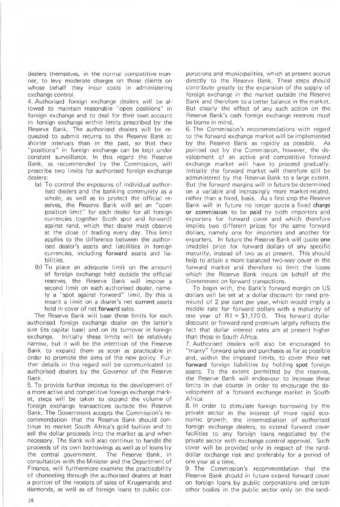dealers themselves, in the normal competitive manner, to levy moderate charges on those clients on whose behalf they incur costs in administering exchange control.

4. Authorised foreign exchange dealers wilt be al· lowed to maintain reasonable "open positions" in foreign exchange and to deal for their own account in foreign exchange within limits prescribed by the Reserve Bank. The authorised dealers Will be requested to submit returns to the Reserve Bank at shorter intervals than in the past, so that their "positions" in foreign exchange can be kept under constant surveillance. In this regard the Reserve Bank, as recommended by the Commission, will prescribe two limits for authorised foreign exchange dealers:

- (a) To control the exposures of individual authorised dealers and the banking community as a whole, as well as to protect the official reserves, the Reserve Bank will set an "open position limit" for each dealer for all foreign currencies together (both spot and forward) against rand, which that dealer must observe at the close of trading every day. This limit applies to the difference between the authorised dealer's assets and liabilities in foreign currencies, including forward assets and liabilities.
- (b) To place an adequate limit on the amount of foreign exchange held outside the official reserves, the Reserve Bank will impose a second limit on each authorised dealer, namely a "spot against forward" limit. By this is meant a limit on a dealer's net current assets held in cover of net forward sales,

The Reserve Bank will base these limits for each authorised foreign exchange dealer on the latter's size (its capital base) and on its turnover in foreign exchange. Initially these limits will be relatively narrow, but it will be the intention of the Reserve Bank. to expand them as soon as practicable in order to promote the aims of the new policy. Further details in this regard will be communicated to authorised dealers by the Governor of the Reserve Bank.

5, To provide further impetus to the development of a more active and competitive foreign exchange market, steps will be taken to expand the volume of foreign exchange transactions outside the Reserve Bank. The Government accepts the Commission's recommendation that the Reserve Bank should continue to market South Africa's gold bullion and to sell the dollar proceeds into the market as and when necessary, The Bank will also continue to handle the proceeds of its own borrowings as well as of loans by the central government. The Reserve Bank, in consultation with the Minister and the Department of Finance, will furthermore examine the practicability of channeling through the authorised dealers at least a portion of the receipts of sales of Krugerrands and diamonds, as well as of foreign loans to public corporations and municipalities, which at present accrue directly to the Reserve Bank. These steps should contribute greatly to the expansion of the supply of foreign exchange in the market outside the Reserve Bank and therefore to a better balance in the market. But clearly the effect of any such action on the Reserve Bank's cash foreign exchange reserves must be borne in mind.

6. The Commission's recommendations with regard to the forward exchange market will be implemented by the Reserve Bank as rapidly as possible. As pointed out by the Commission, however, the development of an active and competitive forward exchange market will have to proceed gradually. Initially the forward market will therefore still be administered by the Reserve Bank to a large extent. But the forward margins will in future be determined on a variable and increasingly more market-related, rather than a fixed, basis. As a first step the Reserve Bank will in future no longer quote a fixed charge or commission to be paid by both importers and exporters for forward cover and which therefore implies two different prices for the same forward doliars, namely one for importers and another for exporters. In future the Reserve Bank will quote one (middle) price fOr forward dollars of any specific maturity, instead of two as at present. This should help to attain a more balanced two-way cover in the forward market and therefore to limit the losses which the Reserve Bank incurs on behalf of the Government on forward transactions.

To begin with, the Bank's forward margin on US dollars will be set at a dollar discount (or rand premium) of 2 per cent per year, which would imply a middle rate for forward dollars with a maturity of one year of  $R1 = $1,1700$ . This forward dollar discount or forward rand premium largely reflects the fact that dollar interest rates are at present higher than those in South Africa.

7, Authorised dealers will also be encouraged to "marry" forward sales and purchases as far as possible and, Within the imposed limits, to cover their net forward foreign liabilities by holding spot foreign assets. To the extent permitted by the reserves, the Reserve Bank will endeavour to increase these limits in due course in order to encourage the development of a forward exchange market in South Africa.

8. In order to stimulate foreign borrowing by the private sector in the interest of more rapid economic growth, the intermediation of authorised foreign exchange dealers, to extend forward cover facilities to any foreign loans negotiated by the private sector with exchange control approval. Such cover will be provided only in respect of the randdollar exchange risk and preferably for a period of one year at a time.

9. The Commission's recommendation that the Reserve Bank should in future extend forward cover on foreign loans by public corporations and certain other bodies in the public sector only on the rand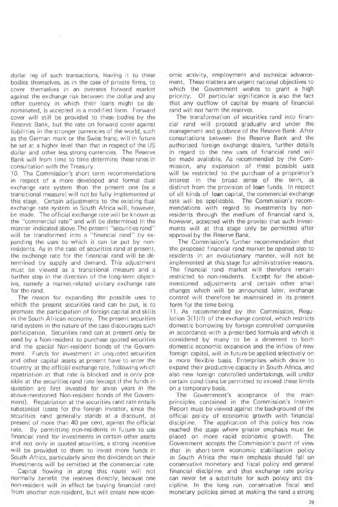dollar leg of such transactions, leaving it to these bodies themselves, as in the case of private firms, to cover themselves In an overseas forward market against the exchange risk between the dollar and any other curency in which their loans might be denominated, is accepted in a modified form\_ Forward cover will still be provided to these bodies by the Reserve Bank, but the rate on forward cover against liabilities in the stronger currencies of the world, such as the German mark or the Swiss franc, will in future be set at a higher level than that in respect of the US dollar and other less strong currencies, The Reserve Bank will from time to time determine these rates in consultation with the Treasury\_

 $-10$ 

10. The Commission's short term recommendations in respect of a more developed and formal dual exchange rate system than the present one las a transitional measure) will not be fully implemented at this stage. Certain adjustments to the existing dual exchange rate system in South Africa will, however, be made. The official exchange rate will be known as the "commercial rate" and will be determined in the manner indicated above. The present "securities rand" will be transformed into a "financial rand" by expanding the uses to which it can be put by non· residents. As in the case of securities rand at present, the exchange rate for the financial rand will be de· termined by supply and demand. This adjustment must be viewed as a transitional measure and a further step in the direction of the long-term objective, namely a market-related unitary exchange rate for the rand.

The reason for expanding the possible uses to which the present securities rand can be put, is to promote the participation of foreign capital and skills in the South African economy. The present securities rand system in the nature of the case discourages such participation. Securities rand can at present only be used by a Non-resident to purchase Quoted securities and the special Non-resident bonds of the Govern· ment. Funds for investment in unquoted securities and other capital assets at present have to enter the country at the official exchange rate. following which repatriation at that rate is blocked and is only pos-Sible at the securities rand rate (except if the funds in question are first invested for seven years in the above-mentioned Non-resident bonds of the Govern· ment). Repatriation at the securities rand rate entails substantial losses for the foreign investor, since the securities rand generally stands at a discount, at present of more than 40 per cent, against the official rate. By permitting non-residents in future to use financial rand for investments in certain other assets and not only in quoted securities, a strong incentive will be provided to them to invest more funds in South Africa, particularly since the dividends on their investments will be remitted at the commercial rate.

Capital flowing in along this route will not normally benefit the reserves directly, because one non-resident will in effect be buying financial rand from another non-resident, but will create newecon·

omic activity, employment and technical advancement, These matters are urgent national objectives to which the Government wishes to grant a high priority. Of particular significance is also the fact that any outflow of capital by means of financial rand will not harm the reserves.

The transformation of securities rand into financial rand will proceed gradually and under the management and guidance of the Reserve Bank, After consultations between the Reserve Bank and the authorised foreign exchange dealers, further details in regard to the new uses of financial rand will be made available, As recommended by the Commission, any expansion of these possible uses will be restricted to the purchase of a proprietor's interest in the broad sense of the term, as distinct from the provision of loan funds. In respect of all kinds of loan capital, the commercial exchange rate will be applicable. The Commission's recommendations with regard to investments by non· residents through the medium of financial rand is, however, accepted with the proviso that such investments will at this stage only be permitted after approval by the Reserve Bank.

The Commission's further recommendation that the proposed financial rand market be opened also to residents in an evolutionary manner, will not be implemented at this stage for administrative reasons. The financial rand market will therefore remain restricted to non-residents. Except for the abovementioned adjustments and certain other small changes which will be announced later, exchange control will therefore be maintained in its present form for the time being.

11. As recommended by the Commission, Regulation  $3(1)(f)$  of the exchange control, which restricts domestic borrowing by foreign controlled companies in accordance with a prescribed formula and which is considered by many to be a deterrent to both domestic economic expansion and the inflow of new foreign capital, will in future be applied selectively on a more flexible basis. Enterprises which desire to expand their productive capacity in South Africa, and also new foreign controlled undertakings, will under certain conditions be permitted to exceed these limits on a temporary basis.

The Government's acceptance of the main principles contained in the Commission's Interim Report must be viewed against the background of the official policy of economic growth with financial discipline. The application of this policy has now reached the stage where greater emphasis must be placed on more rapid economic growth. The Government accepts the Commission's point of view that in short-term economic stabilisation policy in South Africa the main emphasis should fall on conservative monetary and fiscal policy and general financial discipline, and that exchange rate policy can never be a substitute for such policy and discipline, In the long run, conservative fiscal and monetary policies aimed at making the rand a strong